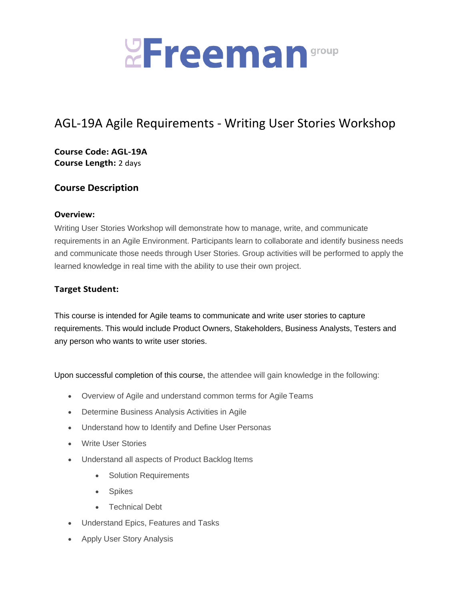

# AGL-19A Agile Requirements - Writing User Stories Workshop

**Course Code: AGL-19A Course Length:** 2 days

# **Course Description**

#### **Overview:**

Writing User Stories Workshop will demonstrate how to manage, write, and communicate requirements in an Agile Environment. Participants learn to collaborate and identify business needs and communicate those needs through User Stories. Group activities will be performed to apply the learned knowledge in real time with the ability to use their own project.

### **Target Student:**

This course is intended for Agile teams to communicate and write user stories to capture requirements. This would include Product Owners, Stakeholders, Business Analysts, Testers and any person who wants to write user stories.

Upon successful completion of this course, the attendee will gain knowledge in the following:

- Overview of Agile and understand common terms for Agile Teams
- Determine Business Analysis Activities in Agile
- Understand how to Identify and Define User Personas
- Write User Stories
- Understand all aspects of Product Backlog Items
	- Solution Requirements
	- Spikes
	- Technical Debt
- Understand Epics, Features and Tasks
- Apply User Story Analysis